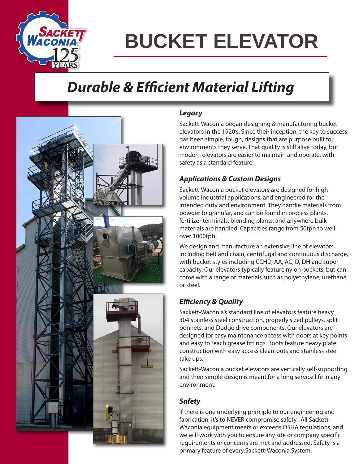

## **BUCKET ELEVATOR**

### *Durable & Efficient Material Lifting*



### *Legacy*

Sackett-Waconia began designing & manufacturing bucket elevators in the 1920's. Since their inception, the key to success has been simple, tough, designs that are purpose built for environments they serve. That quality is still alive today, but modern elevators are easier to maintain and operate, with safety as a standard feature.

### *Applications & Custom Designs*

Sackett-Waconia bucket elevators are designed for high volume industrial applications, and engineered for the intended duty and environment. They handle materials from powder to granular, and can be found in process plants, fertilizer terminals, blending plants, and anywhere bulk materials are handled. Capacities range from 50tph to well over 1000tph.

We design and manufacture an extensive line of elevators, including belt and chain, centrifugal and continuous discharge, with bucket styles including CCHD, AA, AC, D, DH and super capacity. Our elevators typically feature nylon buckets, but can come with a range of materials such as polyethylene, urethane, or steel.

### *Efficiency & Quality*

Sackett-Waconia's standard line of elevators feature heavy 304 stainless steel construction, properly sized pulleys, split bonnets, and Dodge drive components. Our elevators are designed for easy maintenance access with doors at key points and easy to reach grease fittings. Boots feature heavy plate construction with easy access clean-outs and stainless steel take ups.

Sackett-Waconia bucket elevators are vertically self-supporting and their simple design is meant for a long service life in any environment.

### *Safety*

If there is one underlying principle to our engineering and fabrication, it's to NEVER compromise safety. All Sackett-Waconia equipment meets or exceeds OSHA regulations, and we will work with you to ensure any site or company specific requirements or concerns are met and addressed. Safety is a primary feature of every Sackett-Waconia System.